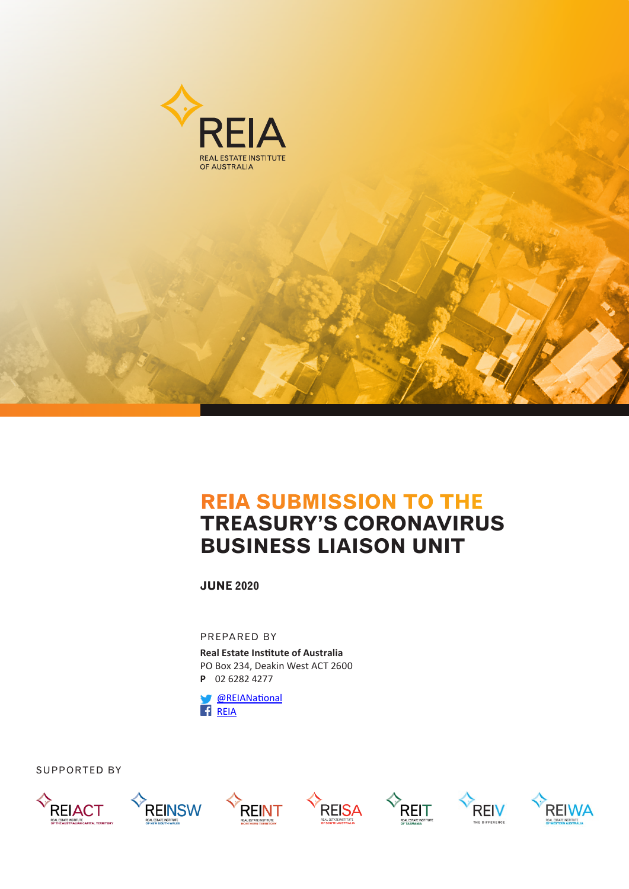

# **REIA SUBMISSION TO THE TREASURY'S CORONAVIRUS BUSINESS LIAISON UNIT**

**JUNE 2020**

PREPARED BY

**Real Estate Institute of Australia** PO Box 234, Deakin West ACT 2600 **P** 02 6282 4277

 [@REIANational](https://twitter.com/REIANational) [REIA](https://www.facebook.com/REIAustralia/)

SUPPORTED BY













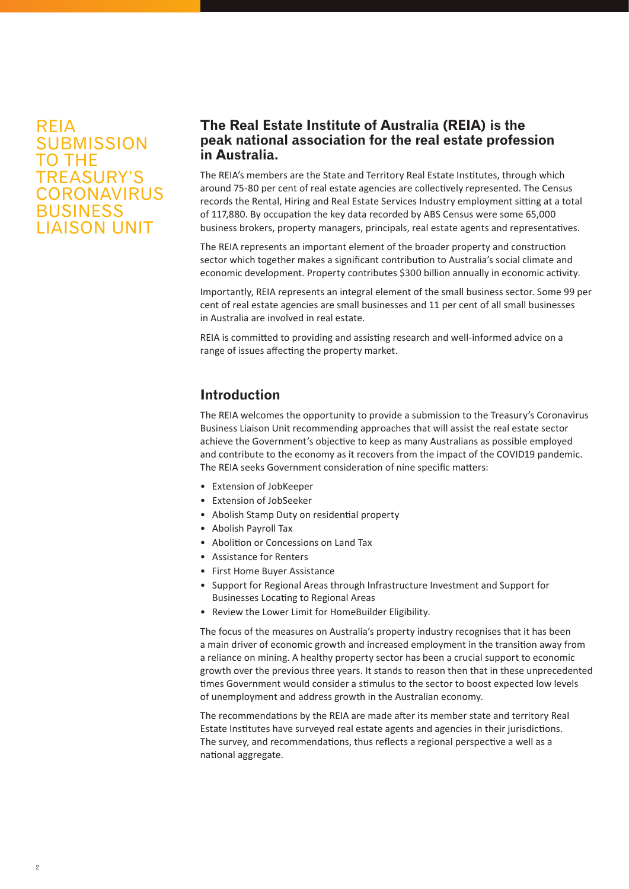# REIA **SUBMISSION** TO THE TREASURY'S **CORONAVIRUS** BUSINESS LIAISON UNIT

# **The Real Estate Institute of Australia (REIA) is the peak national association for the real estate profession in Australia.**

The REIA's members are the State and Territory Real Estate Institutes, through which around 75-80 per cent of real estate agencies are collectively represented. The Census records the Rental, Hiring and Real Estate Services Industry employment sitting at a total of 117,880. By occupation the key data recorded by ABS Census were some 65,000 business brokers, property managers, principals, real estate agents and representatives.

The REIA represents an important element of the broader property and construction sector which together makes a significant contribution to Australia's social climate and economic development. Property contributes \$300 billion annually in economic activity.

Importantly, REIA represents an integral element of the small business sector. Some 99 per cent of real estate agencies are small businesses and 11 per cent of all small businesses in Australia are involved in real estate.

REIA is committed to providing and assisting research and well-informed advice on a range of issues affecting the property market.

# **Introduction**

The REIA welcomes the opportunity to provide a submission to the Treasury's Coronavirus Business Liaison Unit recommending approaches that will assist the real estate sector achieve the Government's objective to keep as many Australians as possible employed and contribute to the economy as it recovers from the impact of the COVID19 pandemic. The REIA seeks Government consideration of nine specific matters:

- Extension of JobKeeper
- Extension of JobSeeker
- Abolish Stamp Duty on residential property
- Abolish Payroll Tax
- Abolition or Concessions on Land Tax
- Assistance for Renters
- First Home Buyer Assistance
- Support for Regional Areas through Infrastructure Investment and Support for Businesses Locating to Regional Areas
- Review the Lower Limit for HomeBuilder Eligibility.

The focus of the measures on Australia's property industry recognises that it has been a main driver of economic growth and increased employment in the transition away from a reliance on mining. A healthy property sector has been a crucial support to economic growth over the previous three years. It stands to reason then that in these unprecedented times Government would consider a stimulus to the sector to boost expected low levels of unemployment and address growth in the Australian economy.

The recommendations by the REIA are made after its member state and territory Real Estate Institutes have surveyed real estate agents and agencies in their jurisdictions. The survey, and recommendations, thus reflects a regional perspective a well as a national aggregate.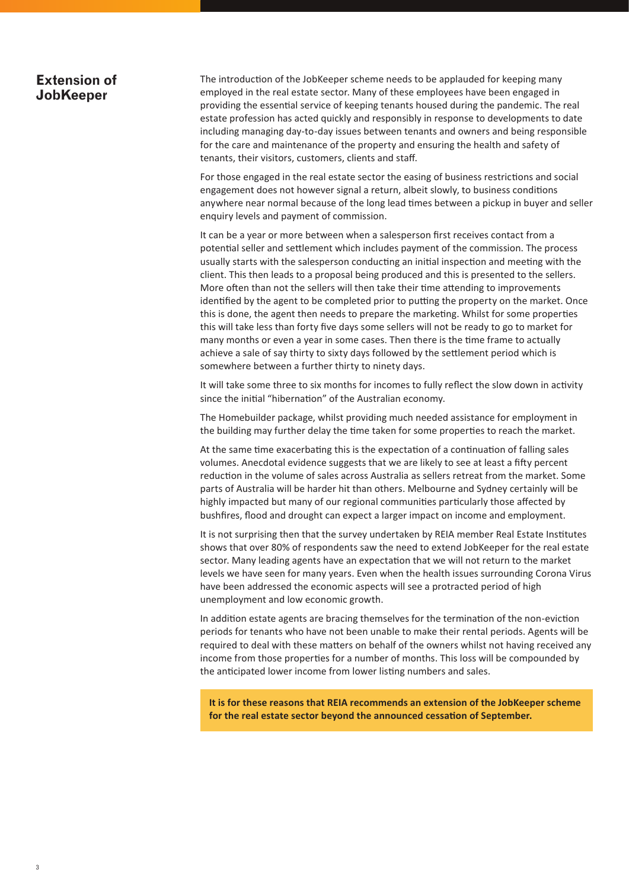#### **Extension of JobKeeper**

The introduction of the JobKeeper scheme needs to be applauded for keeping many employed in the real estate sector. Many of these employees have been engaged in providing the essential service of keeping tenants housed during the pandemic. The real estate profession has acted quickly and responsibly in response to developments to date including managing day-to-day issues between tenants and owners and being responsible for the care and maintenance of the property and ensuring the health and safety of tenants, their visitors, customers, clients and staff.

For those engaged in the real estate sector the easing of business restrictions and social engagement does not however signal a return, albeit slowly, to business conditions anywhere near normal because of the long lead times between a pickup in buyer and seller enquiry levels and payment of commission.

It can be a year or more between when a salesperson first receives contact from a potential seller and settlement which includes payment of the commission. The process usually starts with the salesperson conducting an initial inspection and meeting with the client. This then leads to a proposal being produced and this is presented to the sellers. More often than not the sellers will then take their time attending to improvements identified by the agent to be completed prior to putting the property on the market. Once this is done, the agent then needs to prepare the marketing. Whilst for some properties this will take less than forty five days some sellers will not be ready to go to market for many months or even a year in some cases. Then there is the time frame to actually achieve a sale of say thirty to sixty days followed by the settlement period which is somewhere between a further thirty to ninety days.

It will take some three to six months for incomes to fully reflect the slow down in activity since the initial "hibernation" of the Australian economy.

The Homebuilder package, whilst providing much needed assistance for employment in the building may further delay the time taken for some properties to reach the market.

At the same time exacerbating this is the expectation of a continuation of falling sales volumes. Anecdotal evidence suggests that we are likely to see at least a fifty percent reduction in the volume of sales across Australia as sellers retreat from the market. Some parts of Australia will be harder hit than others. Melbourne and Sydney certainly will be highly impacted but many of our regional communities particularly those affected by bushfires, flood and drought can expect a larger impact on income and employment.

It is not surprising then that the survey undertaken by REIA member Real Estate Institutes shows that over 80% of respondents saw the need to extend JobKeeper for the real estate sector. Many leading agents have an expectation that we will not return to the market levels we have seen for many years. Even when the health issues surrounding Corona Virus have been addressed the economic aspects will see a protracted period of high unemployment and low economic growth.

In addition estate agents are bracing themselves for the termination of the non-eviction periods for tenants who have not been unable to make their rental periods. Agents will be required to deal with these matters on behalf of the owners whilst not having received any income from those properties for a number of months. This loss will be compounded by the anticipated lower income from lower listing numbers and sales.

**It is for these reasons that REIA recommends an extension of the JobKeeper scheme for the real estate sector beyond the announced cessation of September.**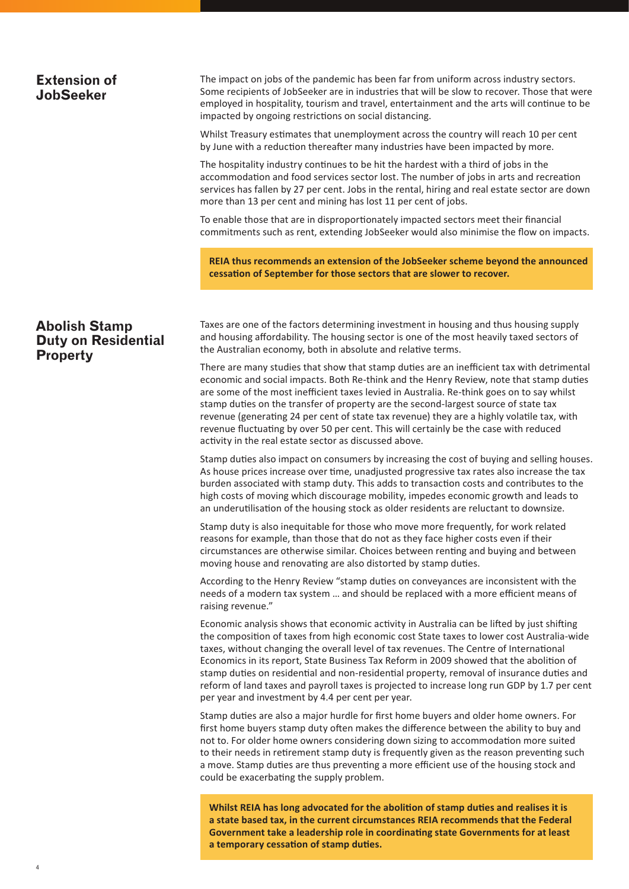#### The impact on jobs of the pandemic has been far from uniform across industry sectors. Some recipients of JobSeeker are in industries that will be slow to recover. Those that were employed in hospitality, tourism and travel, entertainment and the arts will continue to be impacted by ongoing restrictions on social distancing. Whilst Treasury estimates that unemployment across the country will reach 10 per cent by June with a reduction thereafter many industries have been impacted by more. The hospitality industry continues to be hit the hardest with a third of jobs in the accommodation and food services sector lost. The number of jobs in arts and recreation services has fallen by 27 per cent. Jobs in the rental, hiring and real estate sector are down more than 13 per cent and mining has lost 11 per cent of jobs. To enable those that are in disproportionately impacted sectors meet their financial commitments such as rent, extending JobSeeker would also minimise the flow on impacts. **Extension of JobSeeker REIA thus recommends an extension of the JobSeeker scheme beyond the announced cessation of September for those sectors that are slower to recover.**

#### **Abolish Stamp Duty on Residential Property**

Taxes are one of the factors determining investment in housing and thus housing supply and housing affordability. The housing sector is one of the most heavily taxed sectors of the Australian economy, both in absolute and relative terms.

There are many studies that show that stamp duties are an inefficient tax with detrimental economic and social impacts. Both Re-think and the Henry Review, note that stamp duties are some of the most inefficient taxes levied in Australia. Re-think goes on to say whilst stamp duties on the transfer of property are the second-largest source of state tax revenue (generating 24 per cent of state tax revenue) they are a highly volatile tax, with revenue fluctuating by over 50 per cent. This will certainly be the case with reduced activity in the real estate sector as discussed above.

Stamp duties also impact on consumers by increasing the cost of buying and selling houses. As house prices increase over time, unadjusted progressive tax rates also increase the tax burden associated with stamp duty. This adds to transaction costs and contributes to the high costs of moving which discourage mobility, impedes economic growth and leads to an underutilisation of the housing stock as older residents are reluctant to downsize.

Stamp duty is also inequitable for those who move more frequently, for work related reasons for example, than those that do not as they face higher costs even if their circumstances are otherwise similar. Choices between renting and buying and between moving house and renovating are also distorted by stamp duties.

According to the Henry Review "stamp duties on conveyances are inconsistent with the needs of a modern tax system … and should be replaced with a more efficient means of raising revenue."

Economic analysis shows that economic activity in Australia can be lifted by just shifting the composition of taxes from high economic cost State taxes to lower cost Australia-wide taxes, without changing the overall level of tax revenues. The Centre of International Economics in its report, State Business Tax Reform in 2009 showed that the abolition of stamp duties on residential and non-residential property, removal of insurance duties and reform of land taxes and payroll taxes is projected to increase long run GDP by 1.7 per cent per year and investment by 4.4 per cent per year.

Stamp duties are also a major hurdle for first home buyers and older home owners. For first home buyers stamp duty often makes the difference between the ability to buy and not to. For older home owners considering down sizing to accommodation more suited to their needs in retirement stamp duty is frequently given as the reason preventing such a move. Stamp duties are thus preventing a more efficient use of the housing stock and could be exacerbating the supply problem.

**Whilst REIA has long advocated for the abolition of stamp duties and realises it is a state based tax, in the current circumstances REIA recommends that the Federal Government take a leadership role in coordinating state Governments for at least a temporary cessation of stamp duties.**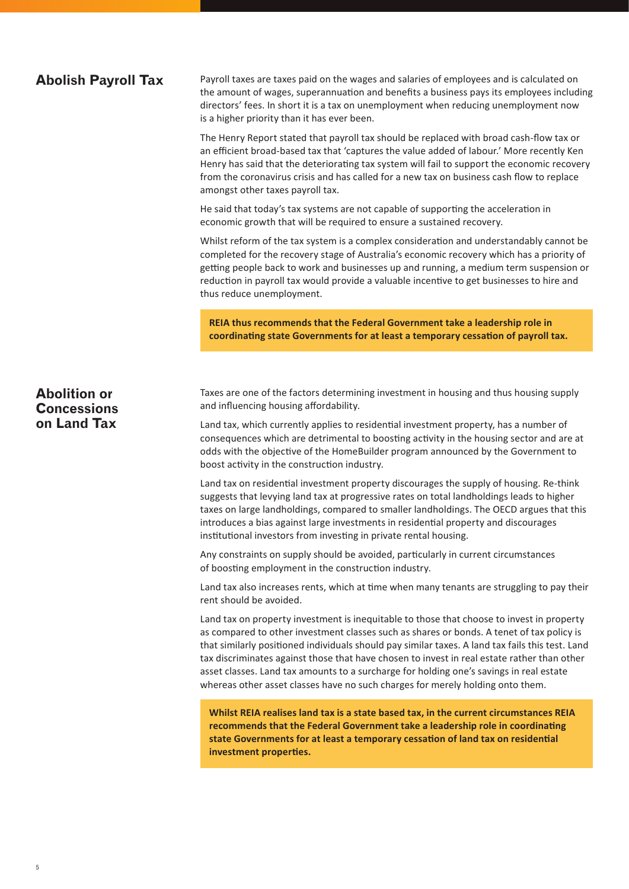#### **Abolish Payroll Tax**

Payroll taxes are taxes paid on the wages and salaries of employees and is calculated on the amount of wages, superannuation and benefits a business pays its employees including directors' fees. In short it is a tax on unemployment when reducing unemployment now is a higher priority than it has ever been.

The Henry Report stated that payroll tax should be replaced with broad cash-flow tax or an efficient broad-based tax that 'captures the value added of labour.' More recently Ken Henry has said that the deteriorating tax system will fail to support the economic recovery from the coronavirus crisis and has called for a new tax on business cash flow to replace amongst other taxes payroll tax.

He said that today's tax systems are not capable of supporting the acceleration in economic growth that will be required to ensure a sustained recovery.

Whilst reform of the tax system is a complex consideration and understandably cannot be completed for the recovery stage of Australia's economic recovery which has a priority of getting people back to work and businesses up and running, a medium term suspension or reduction in payroll tax would provide a valuable incentive to get businesses to hire and thus reduce unemployment.

**REIA thus recommends that the Federal Government take a leadership role in coordinating state Governments for at least a temporary cessation of payroll tax.**

Taxes are one of the factors determining investment in housing and thus housing supply and influencing housing affordability.

Land tax, which currently applies to residential investment property, has a number of consequences which are detrimental to boosting activity in the housing sector and are at odds with the objective of the HomeBuilder program announced by the Government to boost activity in the construction industry.

Land tax on residential investment property discourages the supply of housing. Re-think suggests that levying land tax at progressive rates on total landholdings leads to higher taxes on large landholdings, compared to smaller landholdings. The OECD argues that this introduces a bias against large investments in residential property and discourages institutional investors from investing in private rental housing.

Any constraints on supply should be avoided, particularly in current circumstances of boosting employment in the construction industry.

Land tax also increases rents, which at time when many tenants are struggling to pay their rent should be avoided.

Land tax on property investment is inequitable to those that choose to invest in property as compared to other investment classes such as shares or bonds. A tenet of tax policy is that similarly positioned individuals should pay similar taxes. A land tax fails this test. Land tax discriminates against those that have chosen to invest in real estate rather than other asset classes. Land tax amounts to a surcharge for holding one's savings in real estate whereas other asset classes have no such charges for merely holding onto them.

**Whilst REIA realises land tax is a state based tax, in the current circumstances REIA recommends that the Federal Government take a leadership role in coordinating state Governments for at least a temporary cessation of land tax on residential investment properties.**

### **Abolition or Concessions on Land Tax**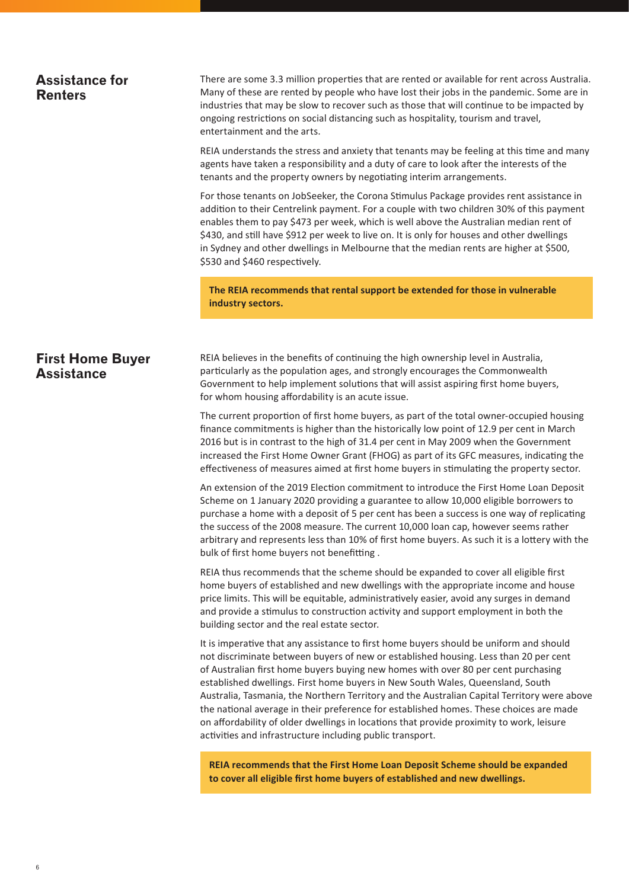#### **Assistance for Renters**

There are some 3.3 million properties that are rented or available for rent across Australia. Many of these are rented by people who have lost their jobs in the pandemic. Some are in industries that may be slow to recover such as those that will continue to be impacted by ongoing restrictions on social distancing such as hospitality, tourism and travel, entertainment and the arts.

REIA understands the stress and anxiety that tenants may be feeling at this time and many agents have taken a responsibility and a duty of care to look after the interests of the tenants and the property owners by negotiating interim arrangements.

For those tenants on JobSeeker, the Corona Stimulus Package provides rent assistance in addition to their Centrelink payment. For a couple with two children 30% of this payment enables them to pay \$473 per week, which is well above the Australian median rent of \$430, and still have \$912 per week to live on. It is only for houses and other dwellings in Sydney and other dwellings in Melbourne that the median rents are higher at \$500, \$530 and \$460 respectively.

**The REIA recommends that rental support be extended for those in vulnerable industry sectors.**

#### **First Home Buyer Assistance**

REIA believes in the benefits of continuing the high ownership level in Australia, particularly as the population ages, and strongly encourages the Commonwealth Government to help implement solutions that will assist aspiring first home buyers, for whom housing affordability is an acute issue.

The current proportion of first home buyers, as part of the total owner-occupied housing finance commitments is higher than the historically low point of 12.9 per cent in March 2016 but is in contrast to the high of 31.4 per cent in May 2009 when the Government increased the First Home Owner Grant (FHOG) as part of its GFC measures, indicating the effectiveness of measures aimed at first home buyers in stimulating the property sector.

An extension of the 2019 Election commitment to introduce the First Home Loan Deposit Scheme on 1 January 2020 providing a guarantee to allow 10,000 eligible borrowers to purchase a home with a deposit of 5 per cent has been a success is one way of replicating the success of the 2008 measure. The current 10,000 loan cap, however seems rather arbitrary and represents less than 10% of first home buyers. As such it is a lottery with the bulk of first home buyers not benefitting .

REIA thus recommends that the scheme should be expanded to cover all eligible first home buyers of established and new dwellings with the appropriate income and house price limits. This will be equitable, administratively easier, avoid any surges in demand and provide a stimulus to construction activity and support employment in both the building sector and the real estate sector.

It is imperative that any assistance to first home buyers should be uniform and should not discriminate between buyers of new or established housing. Less than 20 per cent of Australian first home buyers buying new homes with over 80 per cent purchasing established dwellings. First home buyers in New South Wales, Queensland, South Australia, Tasmania, the Northern Territory and the Australian Capital Territory were above the national average in their preference for established homes. These choices are made on affordability of older dwellings in locations that provide proximity to work, leisure activities and infrastructure including public transport.

**REIA recommends that the First Home Loan Deposit Scheme should be expanded to cover all eligible first home buyers of established and new dwellings.**